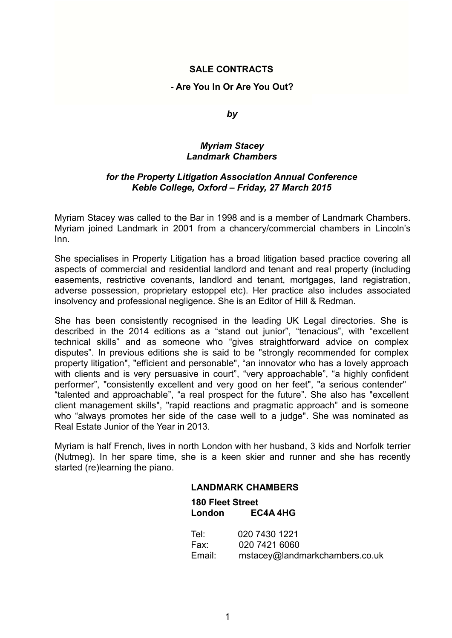# **SALE CONTRACTS**

## **- Are You In Or Are You Out?**

*by*

## *Myriam Stacey Landmark Chambers*

# *for the Property Litigation Association Annual Conference Keble College, Oxford – Friday, 27 March 2015*

Myriam Stacey was called to the Bar in 1998 and is a member of Landmark Chambers. Myriam joined Landmark in 2001 from a chancery/commercial chambers in Lincoln's Inn.

She specialises in Property Litigation has a broad litigation based practice covering all aspects of commercial and residential landlord and tenant and real property (including easements, restrictive covenants, landlord and tenant, mortgages, land registration, adverse possession, proprietary estoppel etc). Her practice also includes associated insolvency and professional negligence. She is an Editor of Hill & Redman.

She has been consistently recognised in the leading UK Legal directories. She is described in the 2014 editions as a "stand out junior", "tenacious", with "excellent technical skills" and as someone who "gives straightforward advice on complex disputes". In previous editions she is said to be "strongly recommended for complex property litigation", "efficient and personable", "an innovator who has a lovely approach with clients and is very persuasive in court", "very approachable", "a highly confident performer", "consistently excellent and very good on her feet", "a serious contender" "talented and approachable", "a real prospect for the future". She also has "excellent client management skills", "rapid reactions and pragmatic approach" and is someone who "always promotes her side of the case well to a judge". She was nominated as Real Estate Junior of the Year in 2013.

Myriam is half French, lives in north London with her husband, 3 kids and Norfolk terrier (Nutmeg). In her spare time, she is a keen skier and runner and she has recently started (re)learning the piano.

### **LANDMARK CHAMBERS**

| <b>180 Fleet Street</b> |                                |
|-------------------------|--------------------------------|
| London                  | EC4A 4HG                       |
| Tel:                    | 020 7430 1221                  |
| Fax:                    | 020 7421 6060                  |
| Email:                  | mstacey@landmarkchambers.co.uk |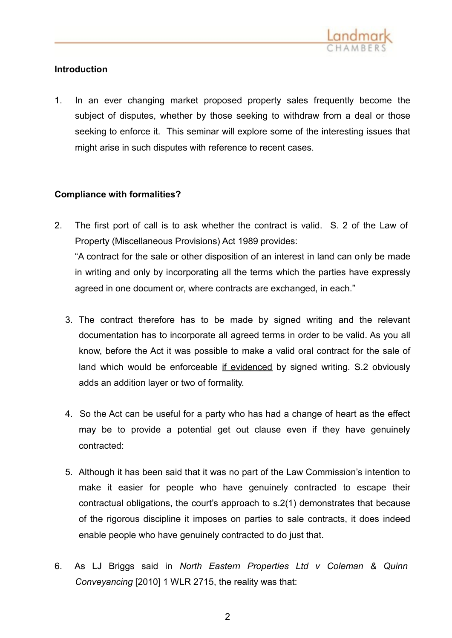

# **Introduction**

1. In an ever changing market proposed property sales frequently become the subject of disputes, whether by those seeking to withdraw from a deal or those seeking to enforce it. This seminar will explore some of the interesting issues that might arise in such disputes with reference to recent cases.

# **Compliance with formalities?**

- 2. The first port of call is to ask whether the contract is valid. S. 2 of the Law of Property (Miscellaneous Provisions) Act 1989 provides: "A contract for the sale or other disposition of an interest in land can only be made in writing and only by incorporating all the terms which the parties have expressly agreed in one document or, where contracts are exchanged, in each."
	- 3. The contract therefore has to be made by signed writing and the relevant documentation has to incorporate all agreed terms in order to be valid. As you all know, before the Act it was possible to make a valid oral contract for the sale of land which would be enforceable if evidenced by signed writing. S.2 obviously adds an addition layer or two of formality.
	- 4. So the Act can be useful for a party who has had a change of heart as the effect may be to provide a potential get out clause even if they have genuinely contracted:
	- 5. Although it has been said that it was no part of the Law Commission's intention to make it easier for people who have genuinely contracted to escape their contractual obligations, the court's approach to s.2(1) demonstrates that because of the rigorous discipline it imposes on parties to sale contracts, it does indeed enable people who have genuinely contracted to do just that.
- 6. As LJ Briggs said in *North Eastern Properties Ltd v Coleman & Quinn Conveyancing* [2010] 1 WLR 2715, the reality was that: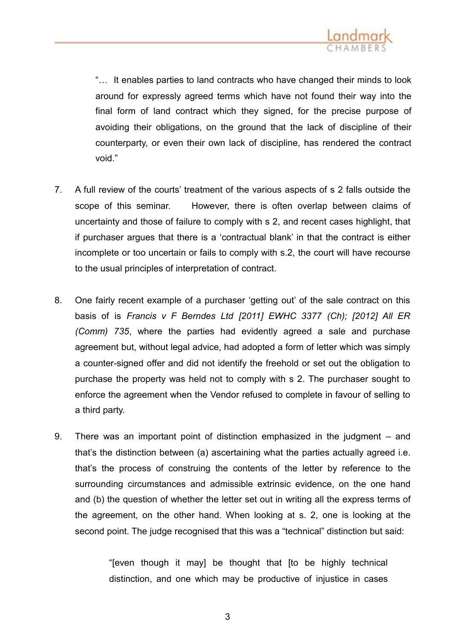

"… It enables parties to land contracts who have changed their minds to look around for expressly agreed terms which have not found their way into the final form of land contract which they signed, for the precise purpose of avoiding their obligations, on the ground that the lack of discipline of their counterparty, or even their own lack of discipline, has rendered the contract void."

- 7. A full review of the courts' treatment of the various aspects of s 2 falls outside the scope of this seminar. However, there is often overlap between claims of uncertainty and those of failure to comply with s 2, and recent cases highlight, that if purchaser argues that there is a 'contractual blank' in that the contract is either incomplete or too uncertain or fails to comply with s.2, the court will have recourse to the usual principles of interpretation of contract.
- 8. One fairly recent example of a purchaser 'getting out' of the sale contract on this basis of is *Francis v F Berndes Ltd [2011] EWHC 3377 (Ch); [2012] All ER (Comm) 735*, where the parties had evidently agreed a sale and purchase agreement but, without legal advice, had adopted a form of letter which was simply a counter-signed offer and did not identify the freehold or set out the obligation to purchase the property was held not to comply with s 2. The purchaser sought to enforce the agreement when the Vendor refused to complete in favour of selling to a third party.
- 9. There was an important point of distinction emphasized in the judgment and that's the distinction between (a) ascertaining what the parties actually agreed i.e. that's the process of construing the contents of the letter by reference to the surrounding circumstances and admissible extrinsic evidence, on the one hand and (b) the question of whether the letter set out in writing all the express terms of the agreement, on the other hand. When looking at s. 2, one is looking at the second point. The judge recognised that this was a "technical" distinction but said:

"[even though it may] be thought that [to be highly technical distinction, and one which may be productive of injustice in cases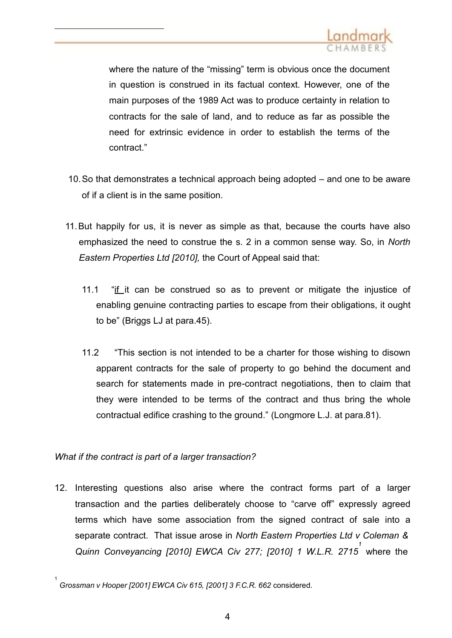

where the nature of the "missing" term is obvious once the document in question is construed in its factual context. However, one of the main purposes of the 1989 Act was to produce certainty in relation to contracts for the sale of land, and to reduce as far as possible the need for extrinsic evidence in order to establish the terms of the contract."

- 10.So that demonstrates a technical approach being adopted and one to be aware of if a client is in the same position.
- 11.But happily for us, it is never as simple as that, because the courts have also emphasized the need to construe the s. 2 in a common sense way. So, in *North Eastern Properties Ltd [2010],* the Court of Appeal said that:
	- 11.1 "if it can be construed so as to prevent or mitigate the injustice of enabling genuine contracting parties to escape from their obligations, it ought to be" (Briggs LJ at para.45).
	- 11.2 "This section is not intended to be a charter for those wishing to disown apparent contracts for the sale of property to go behind the document and search for statements made in pre-contract negotiations, then to claim that they were intended to be terms of the contract and thus bring the whole contractual edifice crashing to the ground." (Longmore L.J. at para.81).

*What if the contract is part of a larger transaction?*

12. Interesting questions also arise where the contract forms part of a larger transaction and the parties deliberately choose to "carve off" expressly agreed terms which have some association from the signed contract of sale into a separate contract. That issue arose in *North Eastern Properties Ltd v Coleman & Quinn Conveyancing [2010] EWCA Civ 277; [2010] 1 [W.L.R.](http://login.westlaw.co.uk/maf/wluk/app/document?src=doc&linktype=ref&context=47&crumb-action=replace&docguid=I515B6E10025F11E0A436E3D19F8835BF) 2715 1*  where the

<sup>1</sup> *[Grossman](http://login.westlaw.co.uk/maf/wluk/app/document?src=doc&linktype=ref&context=47&crumb-action=replace&docguid=IB54C39A0E42711DA8FC2A0F0355337E9) v Hooper [2001] EWCA Civ 615, [2001] 3 F.C.R. 662* considered.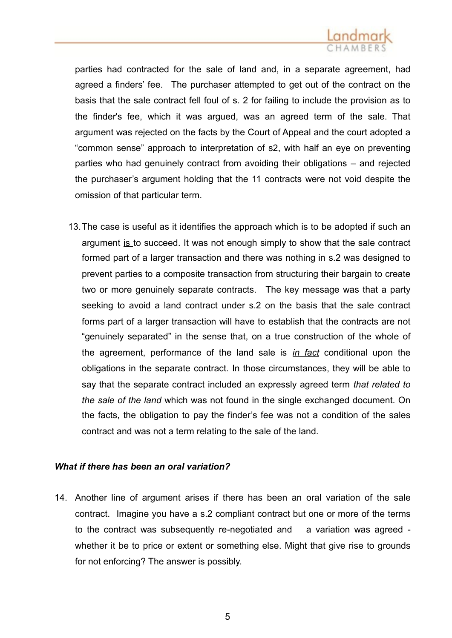parties had contracted for the sale of land and, in a separate agreement, had agreed a finders' fee. The purchaser attempted to get out of the contract on the basis that the sale contract fell foul of s. 2 for failing to include the provision as to the finder's fee, which it was argued, was an agreed term of the sale. That argument was rejected on the facts by the Court of Appeal and the court adopted a "common sense" approach to interpretation of s2, with half an eye on preventing parties who had genuinely contract from avoiding their obligations – and rejected the purchaser's argument holding that the 11 contracts were not void despite the omission of that particular term.

13.The case is useful as it identifies the approach which is to be adopted if such an argument is to succeed. It was not enough simply to show that the sale contract formed part of a larger transaction and there was nothing in s.2 was designed to prevent parties to a composite transaction from structuring their bargain to create two or more genuinely separate contracts. The key message was that a party seeking to avoid a land contract under s.2 on the basis that the sale contract forms part of a larger transaction will have to establish that the contracts are not "genuinely separated" in the sense that, on a true construction of the whole of the agreement, performance of the land sale is *in fact* conditional upon the obligations in the separate contract. In those circumstances, they will be able to say that the separate contract included an expressly agreed term *that related to the sale of the land* which was not found in the single exchanged document. On the facts, the obligation to pay the finder's fee was not a condition of the sales contract and was not a term relating to the sale of the land.

## *What if there has been an oral variation?*

14. Another line of argument arises if there has been an oral variation of the sale contract. Imagine you have a s.2 compliant contract but one or more of the terms to the contract was subsequently re-negotiated and a variation was agreed whether it be to price or extent or something else. Might that give rise to grounds for not enforcing? The answer is possibly.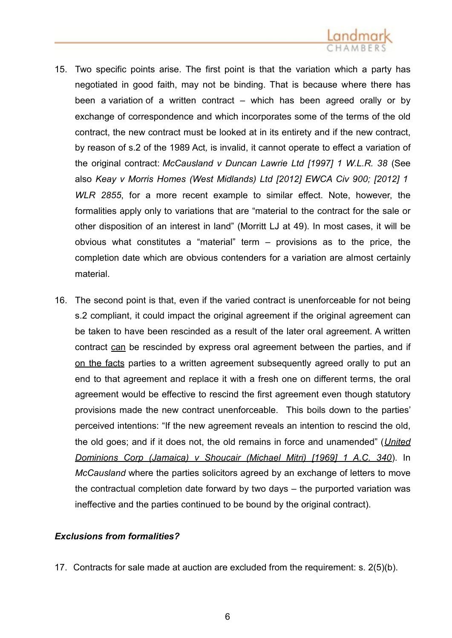- 15. Two specific points arise. The first point is that the variation which a party has negotiated in good faith, may not be binding. That is because where there has been a variation of a written contract – which has been agreed orally or by exchange of correspondence and which incorporates some of the terms of the old contract, the new contract must be looked at in its entirety and if the new contract, by reason of s.2 of the 1989 Act*,* is invalid, it cannot operate to effect a variation of the original contract: *McCausland v Duncan Lawrie Ltd [1997] 1 W.L.R. 38* (See also *Keay v Morris Homes (West Midlands) Ltd [2012] EWCA Civ 900; [2012] 1 WLR 2855*, for a more recent example to similar effect. Note, however, the formalities apply only to variations that are "material to the contract for the sale or other disposition of an interest in land" (Morritt LJ at 49). In most cases, it will be obvious what constitutes a "material" term – provisions as to the price, the completion date which are obvious contenders for a variation are almost certainly material.
- 16. The second point is that, even if the varied contract is unenforceable for not being s.2 compliant, it could impact the original agreement if the original agreement can be taken to have been rescinded as a result of the later oral agreement. A written contract can be rescinded by express oral agreement between the parties, and if on the facts parties to a written agreement subsequently agreed orally to put an end to that agreement and replace it with a fresh one on different terms, the oral agreement would be effective to rescind the first agreement even though statutory provisions made the new contract unenforceable. This boils down to the parties' perceived intentions: "If the new agreement reveals an intention to rescind the old, the old goes; and if it does not, the old remains in force and unamended" (*[United](http://login.westlaw.co.uk/maf/wluk/app/document?src=doc&linktype=ref&context=90&crumb-action=replace&docguid=IE0102470E42811DA8FC2A0F0355337E9) [Dominions](http://login.westlaw.co.uk/maf/wluk/app/document?src=doc&linktype=ref&context=90&crumb-action=replace&docguid=IE0102470E42811DA8FC2A0F0355337E9) Corp (Jamaica) v Shoucair (Michael Mitri) [1969] 1 A.C. 340*). In *McCausland* where the parties solicitors agreed by an exchange of letters to move the contractual completion date forward by two days – the purported variation was ineffective and the parties continued to be bound by the original contract).

## *Exclusions from formalities?*

17. Contracts for sale made at auction are excluded from the requirement: s. 2(5)(b).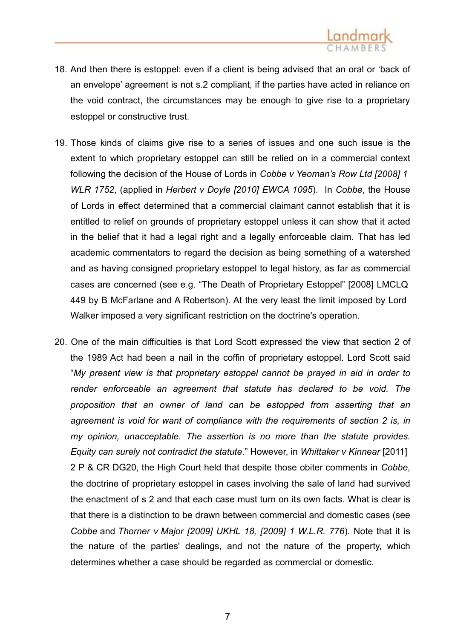

- 18. And then there is estoppel: even if a client is being advised that an oral or 'back of an envelope' agreement is not s.2 compliant, if the parties have acted in reliance on the void contract, the circumstances may be enough to give rise to a proprietary estoppel or constructive trust.
- 19. Those kinds of claims give rise to a series of issues and one such issue is the extent to which proprietary estoppel can still be relied on in a commercial context following the decision of the House of Lords in *Cobbe v Yeoman's Row Ltd [2008] 1 WLR 1752*, (applied in *Herbert v Doyle [2010] EWCA 1095*). In *Cobbe*, the House of Lords in effect determined that a commercial claimant cannot establish that it is entitled to relief on grounds of proprietary estoppel unless it can show that it acted in the belief that it had a legal right and a legally enforceable claim. That has led academic commentators to regard the decision as being something of a watershed and as having consigned proprietary estoppel to legal history, as far as commercial cases are concerned (see e.g. "The Death of Proprietary Estoppel" [2008] LMCLQ 449 by B McFarlane and A Robertson). At the very least the limit imposed by Lord Walker imposed a very significant restriction on the doctrine's operation.
- 20. One of the main difficulties is that Lord Scott expressed the view that section 2 of the 1989 Act had been a nail in the coffin of proprietary estoppel. Lord Scott said "*My present view is that proprietary estoppel cannot be prayed in aid in order to render enforceable an agreement that statute has declared to be void. The proposition that an owner of land can be estopped from asserting that an agreement is void for want of compliance with the requirements of section 2 is, in my opinion, unacceptable. The assertion is no more than the statute provides. Equity can surely not contradict the statute*." However, in *Whittaker v Kinnear* [2011] 2 P & CR DG20, the High Court held that despite those obiter comments in *Cobbe*, the doctrine of proprietary estoppel in cases involving the sale of land had survived the enactment of s 2 and that each case must turn on its own facts. What is clear is that there is a distinction to be drawn between commercial and domestic cases (see *Cobbe* and *Thorner v Major [2009] UKHL 18, [2009] 1 W.L.R. 776*). Note that it is the nature of the parties' dealings, and not the nature of the property, which determines whether a case should be regarded as commercial or domestic.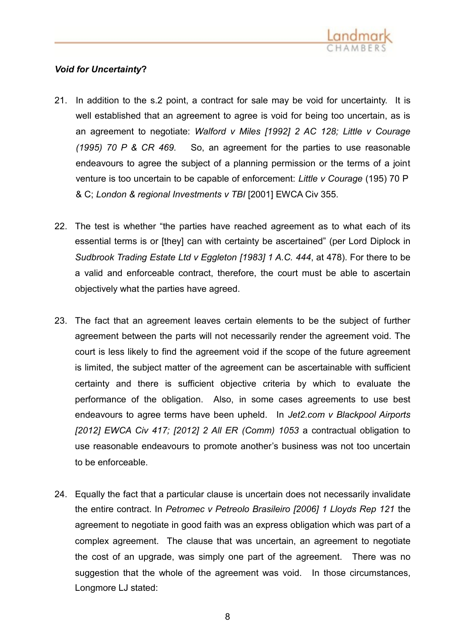

# *Void for Uncertainty***?**

- 21. In addition to the s.2 point, a contract for sale may be void for uncertainty. It is well established that an agreement to agree is void for being too uncertain, as is an agreement to negotiate: *Walford v Miles [1992] 2 AC 128; Little v Courage (1995) 70 P & CR 469.* So, an agreement for the parties to use reasonable endeavours to agree the subject of a planning permission or the terms of a joint venture is too uncertain to be capable of enforcement: *Little v Courage* (195) 70 P & C; *London & regional Investments v TBI* [2001] EWCA Civ 355.
- 22. The test is whether "the parties have reached agreement as to what each of its essential terms is or [they] can with certainty be ascertained" (per Lord Diplock in *[Sudbrook Trading Estate Ltd](http://login.westlaw.co.uk/maf/wluk/app/document?src=doc&linktype=ref&context=128&crumb-action=replace&docguid=IC636DD00E42811DA8FC2A0F0355337E9) v Eggleton [1983] 1 A.C. 444*, at 478). For there to be a valid and enforceable contract, therefore, the court must be able to ascertain objectively what the parties have agreed.
- 23. The fact that an agreement leaves certain elements to be the subject of further agreement between the parts will not necessarily render the agreement void. The court is less likely to find the agreement void if the scope of the future agreement is limited, the subject matter of the agreement can be ascertainable with sufficient certainty and there is sufficient objective criteria by which to evaluate the performance of the obligation. Also, in some cases agreements to use best endeavours to agree terms have been upheld. In *Jet2.com v Blackpool Airports [2012] EWCA Civ 417; [2012] 2 All ER (Comm) 1053* a contractual obligation to use reasonable endeavours to promote another's business was not too uncertain to be enforceable.
- 24. Equally the fact that a particular clause is uncertain does not necessarily invalidate the entire contract. In *Petromec v Petreolo Brasileiro [2006] 1 Lloyds Rep 121* the agreement to negotiate in good faith was an express obligation which was part of a complex agreement. The clause that was uncertain, an agreement to negotiate the cost of an upgrade, was simply one part of the agreement. There was no suggestion that the whole of the agreement was void. In those circumstances, Longmore LJ stated: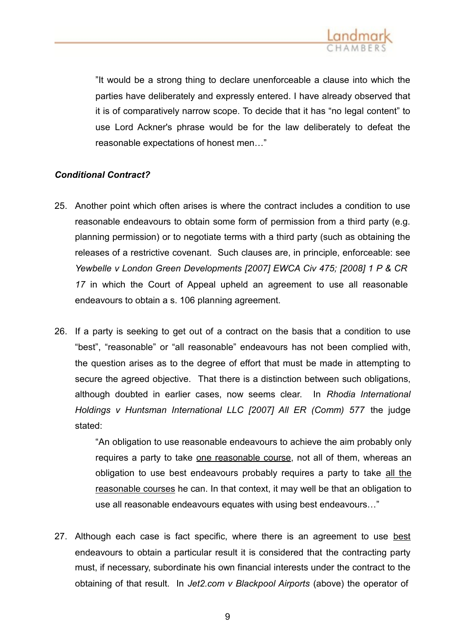

"It would be a strong thing to declare unenforceable a clause into which the parties have deliberately and expressly entered. I have already observed that it is of comparatively narrow scope. To decide that it has "no legal content" to use Lord Ackner's phrase would be for the law deliberately to defeat the reasonable expectations of honest men…"

# *Conditional Contract?*

- 25. Another point which often arises is where the contract includes a condition to use reasonable endeavours to obtain some form of permission from a third party (e.g. planning permission) or to negotiate terms with a third party (such as obtaining the releases of a restrictive covenant. Such clauses are, in principle, enforceable: see *Yewbelle v London Green Developments [2007] EWCA Civ 475; [2008] 1 P & CR 17* in which the Court of Appeal upheld an agreement to use all reasonable endeavours to obtain a s. 106 planning agreement.
- 26. If a party is seeking to get out of a contract on the basis that a condition to use "best", "reasonable" or "all reasonable" endeavours has not been complied with, the question arises as to the degree of effort that must be made in attempting to secure the agreed objective. That there is a distinction between such obligations, although doubted in earlier cases, now seems clear. In *Rhodia International Holdings v Huntsman International LLC [2007] All ER (Comm) 577* the judge stated:

"An obligation to use reasonable endeavours to achieve the aim probably only requires a party to take one reasonable course, not all of them, whereas an obligation to use best endeavours probably requires a party to take all the reasonable courses he can. In that context, it may well be that an obligation to use all reasonable endeavours equates with using best endeavours…"

27. Although each case is fact specific, where there is an agreement to use best endeavours to obtain a particular result it is considered that the contracting party must, if necessary, subordinate his own financial interests under the contract to the obtaining of that result. In *Jet2.com v Blackpool Airports* (above) the operator of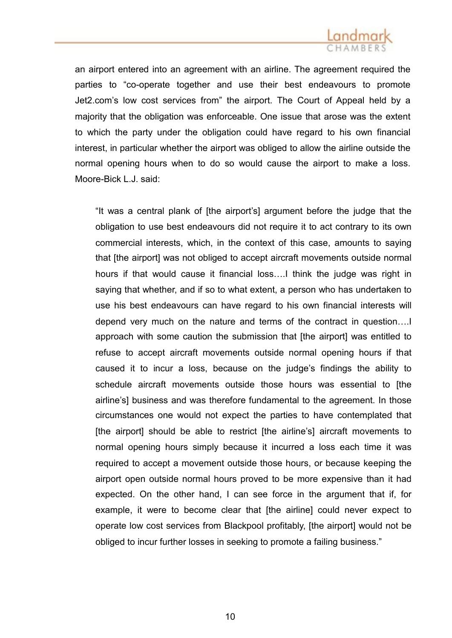an airport entered into an agreement with an airline. The agreement required the parties to "co-operate together and use their best endeavours to promote Jet2.com's low cost services from" the airport. The Court of Appeal held by a majority that the obligation was enforceable. One issue that arose was the extent to which the party under the obligation could have regard to his own financial interest, in particular whether the airport was obliged to allow the airline outside the normal opening hours when to do so would cause the airport to make a loss. Moore-Bick L.J. said:

"It was a central plank of [the airport's] argument before the judge that the obligation to use best endeavours did not require it to act contrary to its own commercial interests, which, in the context of this case, amounts to saying that [the airport] was not obliged to accept aircraft movements outside normal hours if that would cause it financial loss….I think the judge was right in saying that whether, and if so to what extent, a person who has undertaken to use his best endeavours can have regard to his own financial interests will depend very much on the nature and terms of the contract in question….I approach with some caution the submission that [the airport] was entitled to refuse to accept aircraft movements outside normal opening hours if that caused it to incur a loss, because on the judge's findings the ability to schedule aircraft movements outside those hours was essential to [the airline's] business and was therefore fundamental to the agreement. In those circumstances one would not expect the parties to have contemplated that [the airport] should be able to restrict [the airline's] aircraft movements to normal opening hours simply because it incurred a loss each time it was required to accept a movement outside those hours, or because keeping the airport open outside normal hours proved to be more expensive than it had expected. On the other hand, I can see force in the argument that if, for example, it were to become clear that [the airline] could never expect to operate low cost services from Blackpool profitably, [the airport] would not be obliged to incur further losses in seeking to promote a failing business."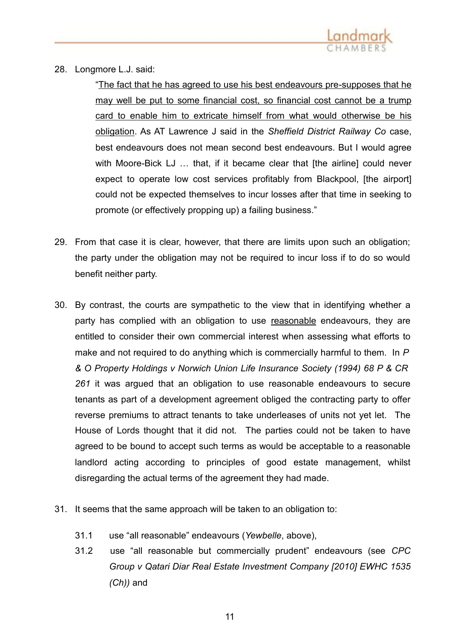

28. Longmore L.J. said:

"The fact that he has agreed to use his best endeavours pre-supposes that he may well be put to some financial cost, so financial cost cannot be a trump card to enable him to extricate himself from what would otherwise be his obligation. As AT Lawrence J said in the *Sheffield District Railway Co* case, best endeavours does not mean second best endeavours. But I would agree with Moore-Bick LJ ... that, if it became clear that [the airline] could never expect to operate low cost services profitably from Blackpool, [the airport] could not be expected themselves to incur losses after that time in seeking to promote (or effectively propping up) a failing business."

- 29. From that case it is clear, however, that there are limits upon such an obligation; the party under the obligation may not be required to incur loss if to do so would benefit neither party.
- 30. By contrast, the courts are sympathetic to the view that in identifying whether a party has complied with an obligation to use reasonable endeavours, they are entitled to consider their own commercial interest when assessing what efforts to make and not required to do anything which is commercially harmful to them. In *P & O Property Holdings v Norwich Union Life Insurance Society (1994) 68 P & CR 261* it was argued that an obligation to use reasonable endeavours to secure tenants as part of a development agreement obliged the contracting party to offer reverse premiums to attract tenants to take underleases of units not yet let. The House of Lords thought that it did not. The parties could not be taken to have agreed to be bound to accept such terms as would be acceptable to a reasonable landlord acting according to principles of good estate management, whilst disregarding the actual terms of the agreement they had made.
- 31. It seems that the same approach will be taken to an obligation to:
	- 31.1 use "all reasonable" endeavours (*Yewbelle*, above),
	- 31.2 use "all reasonable but commercially prudent" endeavours (see *CPC Group v Qatari Diar Real Estate Investment Company [2010] EWHC 1535 (Ch))* and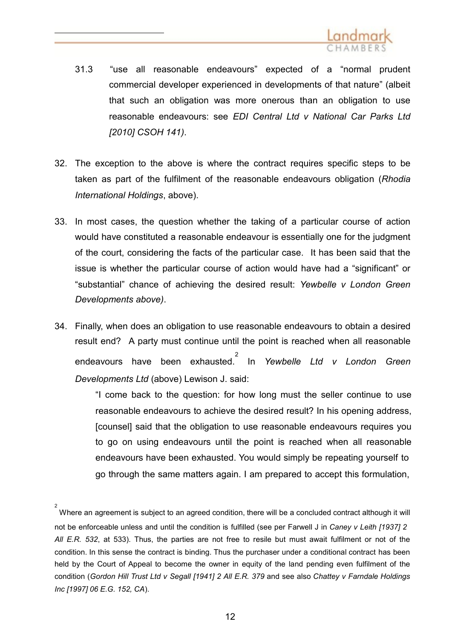

- 31.3 "use all reasonable endeavours" expected of a "normal prudent commercial developer experienced in developments of that nature" (albeit that such an obligation was more onerous than an obligation to use [reasonable endeavours: see](http://login.westlaw.co.uk/maf/wluk/app/document?src=doc&linktype=ref&context=101&crumb-action=replace&docguid=I92C02850E6DA11DF95A3A37A0808ECC4) *EDI Central Ltd [v National Car Parks Ltd](http://login.westlaw.co.uk/maf/wluk/app/document?src=doc&linktype=ref&context=101&crumb-action=replace&docguid=I92C02850E6DA11DF95A3A37A0808ECC4) [2010] CSOH 141)*.
- 32. The exception to the above is where the contract requires specific steps to be taken as part of the fulfilment of the reasonable endeavours obligation (*Rhodia International Holdings*, above).
- 33. In most cases, the question whether the taking of a particular course of action would have constituted a reasonable endeavour is essentially one for the judgment of the court, considering the facts of the particular case. It has been said that the issue is whether the particular course of action would have had a "significant" or "substantial" chance of achieving the desired result: *Yewbelle v London Green Developments above)*.
- 34. Finally, when does an obligation to use reasonable endeavours to obtain a desired result end? A party must continue until the point is reached when all reasonable [endeavours have been exhausted.](http://login.westlaw.co.uk/maf/wluk/app/document?src=doc&linktype=ref&context=216&crumb-action=replace&docguid=I29D744809AEA11DB9F7EF5E89C18EE93)<sup>2</sup> In *[Yewbelle Ltd v London Green](http://login.westlaw.co.uk/maf/wluk/app/document?src=doc&linktype=ref&context=216&crumb-action=replace&docguid=I29D744809AEA11DB9F7EF5E89C18EE93)  Developments Ltd* (above) Lewison J. said:

"I come back to the question: for how long must the seller continue to use reasonable endeavours to achieve the desired result? In his opening address, [counsel] said that the obligation to use reasonable endeavours requires you to go on using endeavours until the point is reached when all reasonable endeavours have been exhausted. You would simply be repeating yourself to go through the same matters again. I am prepared to accept this formulation,

<sup>2</sup> Where an agreement is subject to an agreed condition, there will be a concluded contract although it will not be enforceable unless and until the condition is fulfilled (see per Farwell J in *Caney v Leith [1937] 2 All E.R. 532*, at 533). Thus, the parties are not free to resile but must await fulfilment or not of the condition. In this sense the contract is binding. Thus the purchaser under a conditional contract has been held by the Court of Appeal to become the owner in equity of the land pending even fulfilment of the condition (*[Gordon Hill](http://login.westlaw.co.uk/maf/wluk/app/document?src=doc&linktype=ref&context=114&crumb-action=replace&docguid=I86470630E42711DA8FC2A0F0355337E9) Trust Ltd v Segall [1941] 2 All E.R. 379* and see also *Chattey v [Farndale](http://login.westlaw.co.uk/maf/wluk/app/document?src=doc&linktype=ref&context=114&crumb-action=replace&docguid=I86470630E42711DA8FC2A0F0355337E9) Holdings Inc [1997] 06 E.G. 152, CA*).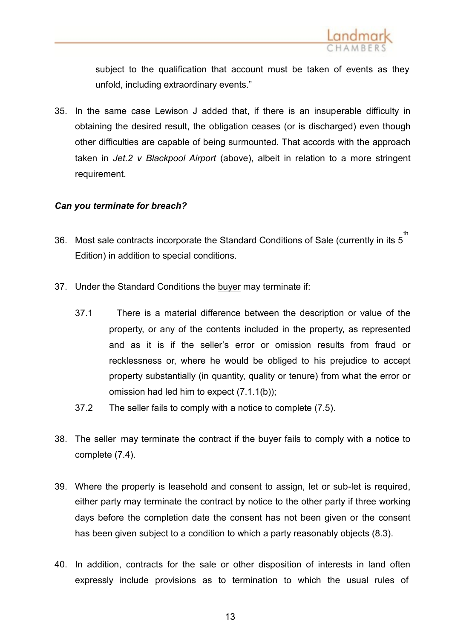

subject to the qualification that account must be taken of events as they unfold, including extraordinary events."

35. In the same case Lewison J added that, if there is an insuperable difficulty in obtaining the desired result, the obligation ceases (or is discharged) even though other difficulties are capable of being surmounted. That accords with the approach taken in *Jet.2 v Blackpool Airport* (above), albeit in relation to a more stringent requirement.

## *Can you terminate for breach?*

- 36. Most sale contracts incorporate the Standard Conditions of Sale (currently in its 5 th Edition) in addition to special conditions.
- 37. Under the Standard Conditions the buyer may terminate if:
	- 37.1 There is a material difference between the description or value of the property, or any of the contents included in the property, as represented and as it is if the seller's error or omission results from fraud or recklessness or, where he would be obliged to his prejudice to accept property substantially (in quantity, quality or tenure) from what the error or omission had led him to expect (7.1.1(b));
	- 37.2 The seller fails to comply with a notice to complete (7.5).
- 38. The seller may terminate the contract if the buyer fails to comply with a notice to complete (7.4).
- 39. Where the property is leasehold and consent to assign, let or sub-let is required, either party may terminate the contract by notice to the other party if three working days before the completion date the consent has not been given or the consent has been given subject to a condition to which a party reasonably objects (8.3).
- 40. In addition, contracts for the sale or other disposition of interests in land often expressly include provisions as to termination to which the usual rules of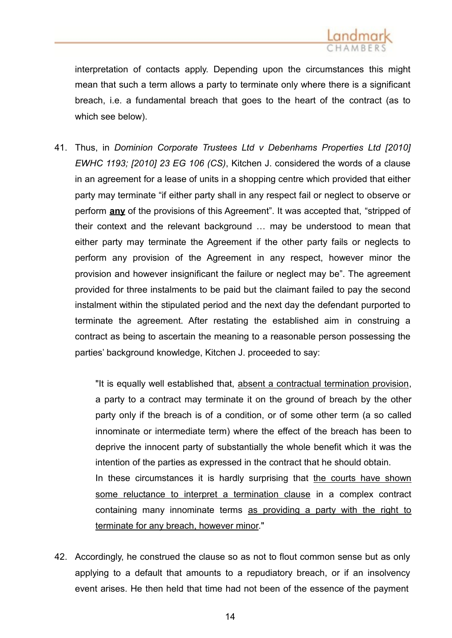

interpretation of contacts apply. Depending upon the circumstances this might mean that such a term allows a party to terminate only where there is a significant breach, i.e. a fundamental breach that goes to the heart of the contract (as to which see below).

41. Thus, in *Dominion Corporate Trustees Ltd v [Debenhams](http://login.westlaw.co.uk/maf/wluk/app/document?src=doc&linktype=ref&context=18&crumb-action=replace&docguid=I10CB2A8069ED11DFB52E84159CF640A2) Properties Ltd [2010] [EWHC 1193;](http://login.westlaw.co.uk/maf/wluk/app/document?src=doc&linktype=ref&context=18&crumb-action=replace&docguid=I10CB2A8069ED11DFB52E84159CF640A2) [2010] 23 EG 106 (CS)*, Kitchen J. considered the words of a clause in an agreement for a lease of units in a shopping centre which provided that either party may terminate "if either party shall in any respect fail or neglect to observe or perform **any** of the provisions of this Agreement". It was accepted that, "stripped of their context and the relevant background … may be understood to mean that either party may terminate the Agreement if the other party fails or neglects to perform any provision of the Agreement in any respect, however minor the provision and however insignificant the failure or neglect may be". The agreement provided for three instalments to be paid but the claimant failed to pay the second instalment within the stipulated period and the next day the defendant purported to terminate the agreement. After restating the established aim in construing a contract as being to ascertain the meaning to a reasonable person possessing the parties' background knowledge, Kitchen J. proceeded to say:

> "It is equally well established that, absent a contractual termination provision, a party to a contract may terminate it on the ground of breach by the other party only if the breach is of a condition, or of some other term (a so called innominate or intermediate term) where the effect of the breach has been to deprive the innocent party of substantially the whole benefit which it was the intention of the parties as expressed in the contract that he should obtain. In these circumstances it is hardly surprising that the courts have shown some reluctance to interpret a termination clause in a complex contract containing many innominate terms as providing a party with the right to terminate for any breach, however minor."

42. Accordingly, he construed the clause so as not to flout common sense but as only applying to a default that amounts to a repudiatory breach, or if an insolvency event arises. He then held that time had not been of the essence of the payment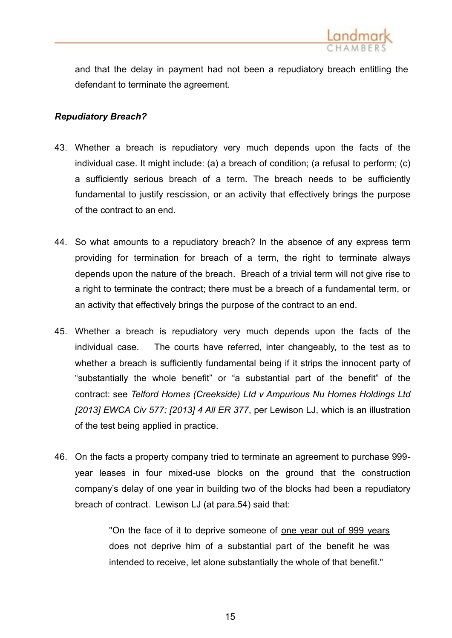

and that the delay in payment had not been a repudiatory breach entitling the defendant to terminate the agreement.

# *Repudiatory Breach?*

- 43. Whether a breach is repudiatory very much depends upon the facts of the individual case. It might include: (a) a breach of condition; (a refusal to perform; (c) a sufficiently serious breach of a term. The breach needs to be sufficiently fundamental to justify rescission, or an activity that effectively brings the purpose of the contract to an end.
- 44. So what amounts to a repudiatory breach? In the absence of any express term providing for termination for breach of a term, the right to terminate always depends upon the nature of the breach. Breach of a trivial term will not give rise to a right to terminate the contract; there must be a breach of a fundamental term, or an activity that effectively brings the purpose of the contract to an end.
- 45. Whether a breach is repudiatory very much depends upon the facts of the individual case. The courts have referred, inter changeably, to the test as to whether a breach is sufficiently fundamental being if it strips the innocent party of "substantially the whole benefit" or "a substantial part of the benefit" of the contract: see *Telford [Homes \(Creekside\) Ltd](http://login.westlaw.co.uk/maf/wluk/app/document?src=doc&linktype=ref&context=18&crumb-action=replace&docguid=I02A67150C40111E2955FDD3AB7875151) v Ampurious Nu Homes Holdings Ltd [2013] EWCA Civ 577; [2013] 4 All ER 377*, per Lewison LJ, which is an illustration of the test being applied in practice.
- 46. On the facts a property company tried to terminate an agreement to purchase 999 year leases in four mixed-use blocks on the ground that the construction company's delay of one year in building two of the blocks had been a repudiatory breach of contract. Lewison LJ (at para.54) said that:

"On the face of it to deprive someone of one year out of 999 years does not deprive him of a substantial part of the benefit he was intended to receive, let alone substantially the whole of that benefit."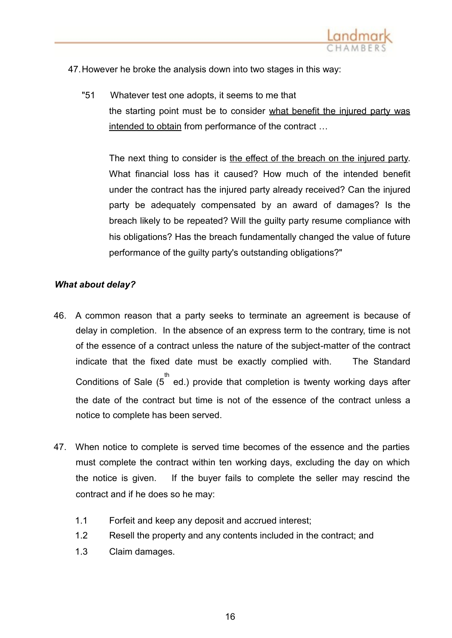

47.However he broke the analysis down into two stages in this way:

"51 Whatever test one adopts, it seems to me that the starting point must be to consider what benefit the injured party was intended to obtain from performance of the contract …

The next thing to consider is the effect of the breach on the injured party. What financial loss has it caused? How much of the intended benefit under the contract has the injured party already received? Can the injured party be adequately compensated by an award of damages? Is the breach likely to be repeated? Will the guilty party resume compliance with his obligations? Has the breach fundamentally changed the value of future performance of the guilty party's outstanding obligations?"

# *What about delay?*

- 46. A common reason that a party seeks to terminate an agreement is because of delay in completion. In the absence of an express term to the contrary, time is not of the essence of a contract unless the nature of the subject-matter of the contract indicate that the fixed date must be exactly complied with. The Standard Conditions of Sale  $(5^{th}$  ed.) provide that completion is twenty working days after the date of the contract but time is not of the essence of the contract unless a notice to complete has been served.
- 47. When notice to complete is served time becomes of the essence and the parties must complete the contract within ten working days, excluding the day on which the notice is given. If the buyer fails to complete the seller may rescind the contract and if he does so he may:
	- 1.1 Forfeit and keep any deposit and accrued interest;
	- 1.2 Resell the property and any contents included in the contract; and
	- 1.3 Claim damages.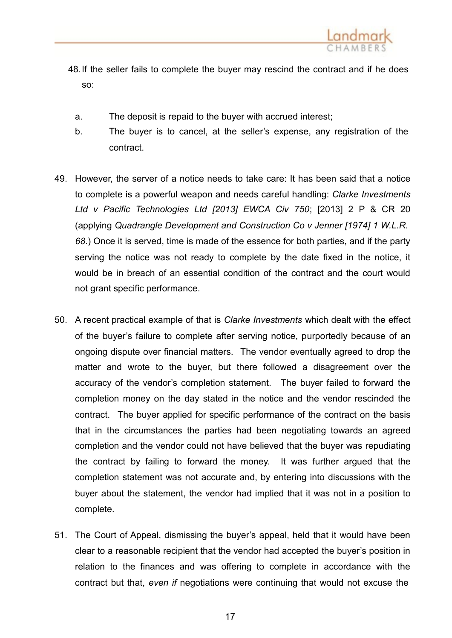

- 48.If the seller fails to complete the buyer may rescind the contract and if he does so:
	- a. The deposit is repaid to the buyer with accrued interest;
	- b. The buyer is to cancel, at the seller's expense, any registration of the contract.
- 49. However, the server of a notice needs to take care: It has been said that a notice to complete is a powerful weapon and needs careful handling: *Clarke Investments Ltd v Pacific Technologies Ltd [2013] EWCA Civ 750*; [2013] 2 P & CR 20 (applying *Quadrangle [Development](http://login.westlaw.co.uk/maf/wluk/app/document?src=doc&linktype=ref&context=52&crumb-action=replace&docguid=I2E21E910E42811DA8FC2A0F0355337E9) and Construction Co v Jenner [1974] 1 W.L.R. [68](http://login.westlaw.co.uk/maf/wluk/app/document?src=doc&linktype=ref&context=52&crumb-action=replace&docguid=I2E21E910E42811DA8FC2A0F0355337E9)*.) Once it is served, time is made of the essence for both parties, and if the party serving the notice was not ready to complete by the date fixed in the notice, it would be in breach of an essential condition of the contract and the court would not grant specific performance.
- 50. A recent practical example of that is *Clarke Investments* which dealt with the effect of the buyer's failure to complete after serving notice, purportedly because of an ongoing dispute over financial matters. The vendor eventually agreed to drop the matter and wrote to the buyer, but there followed a disagreement over the accuracy of the vendor's completion statement. The buyer failed to forward the completion money on the day stated in the notice and the vendor rescinded the contract. The buyer applied for specific performance of the contract on the basis that in the circumstances the parties had been negotiating towards an agreed completion and the vendor could not have believed that the buyer was repudiating the contract by failing to forward the money. It was further argued that the completion statement was not accurate and, by entering into discussions with the buyer about the statement, the vendor had implied that it was not in a position to complete.
- 51. The Court of Appeal, dismissing the buyer's appeal, held that it would have been clear to a reasonable recipient that the vendor had accepted the buyer's position in relation to the finances and was offering to complete in accordance with the contract but that, *even if* negotiations were continuing that would not excuse the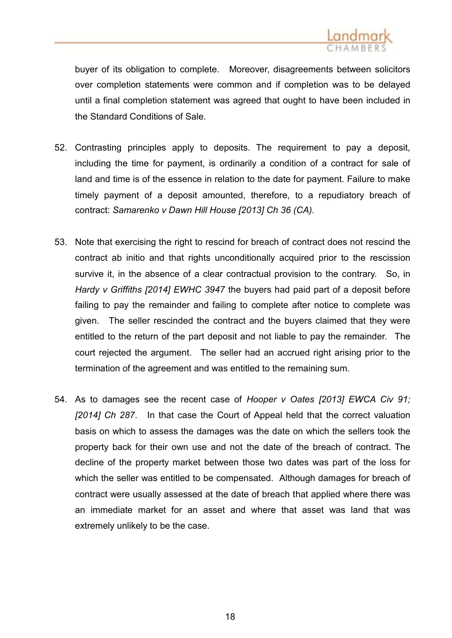

buyer of its obligation to complete. Moreover, disagreements between solicitors over completion statements were common and if completion was to be delayed until a final completion statement was agreed that ought to have been included in the Standard Conditions of Sale.

- 52. Contrasting principles apply to deposits. The requirement to pay a deposit, including the time for payment, is ordinarily a condition of a contract for sale of land and time is of the essence in relation to the date for payment. Failure to make timely payment of a deposit amounted, therefore, to a repudiatory breach of contract: *Samarenko v Dawn Hill House [2013] Ch 36 (CA).*
- 53. Note that exercising the right to rescind for breach of contract does not rescind the contract ab initio and that rights unconditionally acquired prior to the rescission survive it, in the absence of a clear contractual provision to the contrary. So, in *Hardy v Griffiths [2014] EWHC 3947* the buyers had paid part of a deposit before failing to pay the remainder and failing to complete after notice to complete was given. The seller rescinded the contract and the buyers claimed that they were entitled to the return of the part deposit and not liable to pay the remainder. The court rejected the argument. The seller had an accrued right arising prior to the termination of the agreement and was entitled to the remaining sum.
- 54. As to damages see the recent case of *Hooper v Oates [2013] EWCA Civ 91; [2014] Ch 287*. In that case the Court of Appeal held that the correct valuation basis on which to assess the damages was the date on which the sellers took the property back for their own use and not the date of the breach of contract. The decline of the property market between those two dates was part of the loss for which the seller was entitled to be compensated. Although damages for breach of contract were usually assessed at the date of breach that applied where there was an immediate market for an asset and where that asset was land that was extremely unlikely to be the case.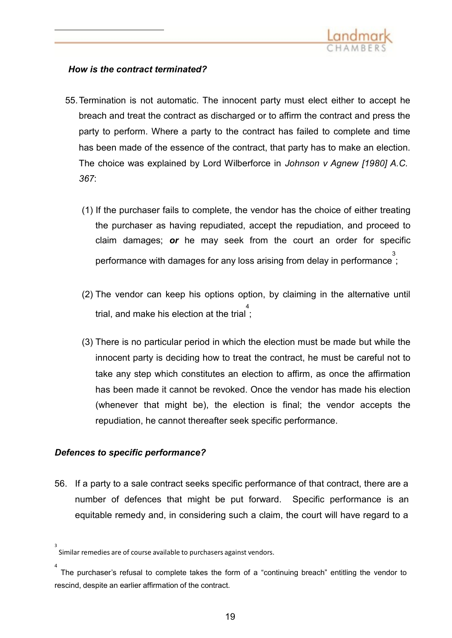

## *How is the contract terminated?*

- 55.Termination is not automatic. The innocent party must elect either to accept he breach and treat the contract as discharged or to affirm the contract and press the party to perform. Where a party to the contract has failed to complete and time has been made of the essence of the contract, that party has to make an election. The choice was explained by Lord Wilberforce in *[Johnson](http://login.westlaw.co.uk/maf/wluk/app/document?src=doc&linktype=ref&context=18&crumb-action=replace&docguid=ICDAF0DB0E42711DA8FC2A0F0355337E9) v Agnew [1980] A.C. [367](http://login.westlaw.co.uk/maf/wluk/app/document?src=doc&linktype=ref&context=18&crumb-action=replace&docguid=ICDAF0DB0E42711DA8FC2A0F0355337E9)*:
	- (1) If the purchaser fails to complete, the vendor has the choice of either treating the purchaser as having repudiated, accept the repudiation, and proceed to claim damages; *or* he may seek from the court an order for specific performance with damages for any loss arising from delay in performance 3 ;
	- (2) The vendor can keep his options option, by claiming in the alternative until ء<br>; trial, and make his election at the trial
	- (3) There is no particular period in which the election must be made but while the innocent party is deciding how to treat the contract, he must be careful not to take any step which constitutes an election to affirm, as once the affirmation has been made it cannot be revoked. Once the vendor has made his election (whenever that might be), the election is final; the vendor accepts the repudiation, he cannot thereafter seek specific performance.

## *Defences to specific performance?*

56. If a party to a sale contract seeks specific performance of that contract, there are a number of defences that might be put forward. Specific performance is an equitable remedy and, in considering such a claim, the court will have regard to a

<sup>3</sup> Similar remedies are of course available to purchasers against vendors.

<sup>4</sup>  The purchaser's refusal to complete takes the form of a "continuing breach" entitling the vendor to rescind, despite an earlier affirmation of the contract.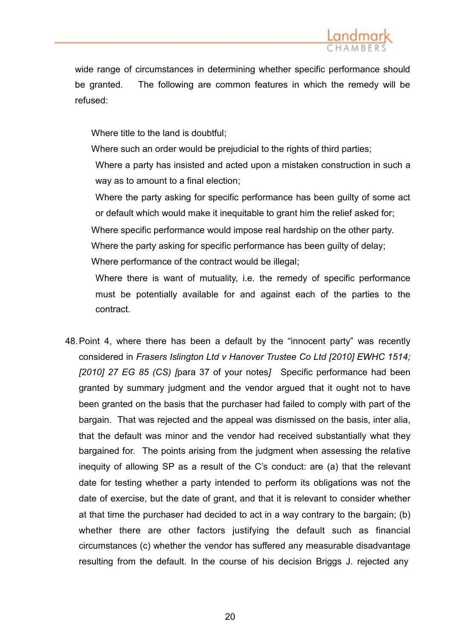

wide range of circumstances in determining whether specific performance should be granted. The following are common features in which the remedy will be refused:

Where title to the land is doubtful;

Where such an order would be prejudicial to the rights of third parties;

Where a party has insisted and acted upon a mistaken construction in such a way as to amount to a final election;

Where the party asking for specific performance has been guilty of some act or default which would make it inequitable to grant him the relief asked for;

 Where specific performance would impose real hardship on the other party. Where the party asking for specific performance has been guilty of delay; Where performance of the contract would be illegal;

Where there is want of mutuality, i.e. the remedy of specific performance must be potentially available for and against each of the parties to the contract.

48.Point 4, where there has been a default by the "innocent party" was recently considered in *Frasers Islington Ltd v [Hanover Trustee](http://login.westlaw.co.uk/maf/wluk/app/document?src=doc&linktype=ref&context=74&crumb-action=replace&docguid=IF016E31080B211DFB9C7F0982A894AFF) Co Ltd [2010] EWHC 1514; [2010] 27 EG 85 (CS) [*para 37 of your notes*]* Specific performance had been granted by summary judgment and the vendor argued that it ought not to have been granted on the basis that the purchaser had failed to comply with part of the bargain. That was rejected and the appeal was dismissed on the basis, inter alia, that the default was minor and the vendor had received substantially what they bargained for. The points arising from the judgment when assessing the relative inequity of allowing SP as a result of the C's conduct: are (a) that the relevant date for testing whether a party intended to perform its obligations was not the date of exercise, but the date of grant, and that it is relevant to consider whether at that time the purchaser had decided to act in a way contrary to the bargain; (b) whether there are other factors justifying the default such as financial circumstances (c) whether the vendor has suffered any measurable disadvantage resulting from the default. In the course of his decision Briggs J. rejected any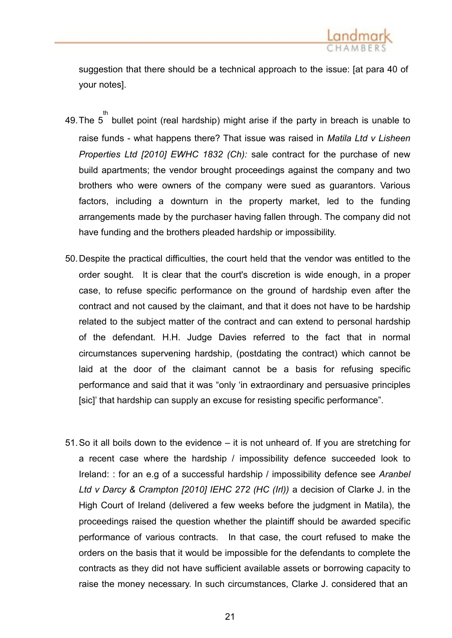

suggestion that there should be a technical approach to the issue: [at para 40 of your notes].

- 49. The  $5^{th}$  bullet point (real hardship) might arise if the party in breach is unable to raise funds - what happens there? That issue was raised in *Matila Ltd v Lisheen Properties Ltd [2010] EWHC 1832 (Ch):* sale contract for the purchase of new build apartments; the vendor brought proceedings against the company and two brothers who were owners of the company were sued as guarantors. Various factors, including a downturn in the property market, led to the funding arrangements made by the purchaser having fallen through. The company did not have funding and the brothers pleaded hardship or impossibility.
- 50.Despite the practical difficulties, the court held that the vendor was entitled to the order sought. It is clear that the court's discretion is wide enough, in a proper case, to refuse specific performance on the ground of hardship even after the contract and not caused by the claimant, and that it does not have to be hardship related to the subject matter of the contract and can extend to personal hardship of the defendant. H.H. Judge Davies referred to the fact that in normal circumstances supervening hardship, (postdating the contract) which cannot be laid at the door of the claimant cannot be a basis for refusing specific performance and said that it was "only 'in extraordinary and persuasive principles [sic]' that hardship can supply an excuse for resisting specific performance".
- 51.So it all boils down to the evidence it is not unheard of. If you are stretching for a recent case where the hardship / impossibility defence succeeded look to Ireland: : for an e.g of a successful hardship / impossibility defence see *Aranbel Ltd v Darcy & Crampton [2010] IEHC 272 (HC (Irl))* a decision of Clarke J. in the High Court of Ireland (delivered a few weeks before the judgment in Matila), the proceedings raised the question whether the plaintiff should be awarded specific performance of various contracts. In that case, the court refused to make the orders on the basis that it would be impossible for the defendants to complete the contracts as they did not have sufficient available assets or borrowing capacity to raise the money necessary. In such circumstances, Clarke J. considered that an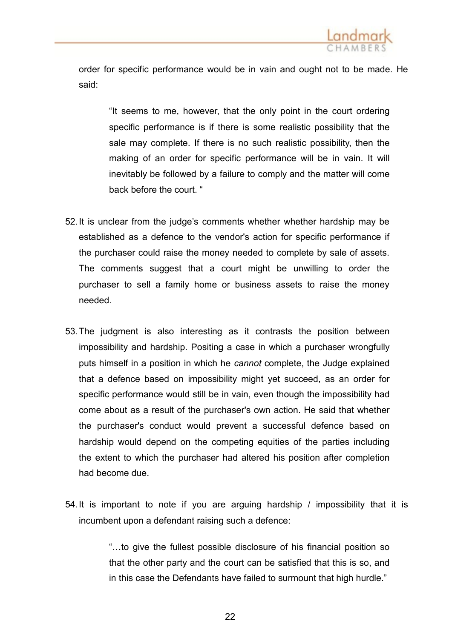

order for specific performance would be in vain and ought not to be made. He said:

"It seems to me, however, that the only point in the court ordering specific performance is if there is some realistic possibility that the sale may complete. If there is no such realistic possibility, then the making of an order for specific performance will be in vain. It will inevitably be followed by a failure to comply and the matter will come back before the court. "

- 52.It is unclear from the judge's comments whether whether hardship may be established as a defence to the vendor's action for specific performance if the purchaser could raise the money needed to complete by sale of assets. The comments suggest that a court might be unwilling to order the purchaser to sell a family home or business assets to raise the money needed.
- 53.The judgment is also interesting as it contrasts the position between impossibility and hardship. Positing a case in which a purchaser wrongfully puts himself in a position in which he *cannot* complete, the Judge explained that a defence based on impossibility might yet succeed, as an order for specific performance would still be in vain, even though the impossibility had come about as a result of the purchaser's own action. He said that whether the purchaser's conduct would prevent a successful defence based on hardship would depend on the competing equities of the parties including the extent to which the purchaser had altered his position after completion had become due.
- 54.It is important to note if you are arguing hardship / impossibility that it is incumbent upon a defendant raising such a defence:

"…to give the fullest possible disclosure of his financial position so that the other party and the court can be satisfied that this is so, and in this case the Defendants have failed to surmount that high hurdle."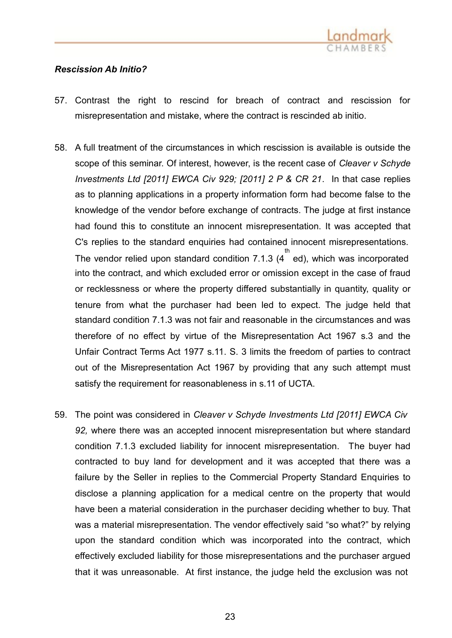

# *Rescission Ab Initio?*

- 57. Contrast the right to rescind for breach of contract and rescission for misrepresentation and mistake, where the contract is rescinded ab initio.
- 58. A full treatment of the circumstances in which rescission is available is outside the scope of this seminar. Of interest, however, is the recent case of *Cleaver v Schyde Investments Ltd [2011] EWCA Civ 929; [2011] 2 P & CR 21*. In that case replies as to planning applications in a property information form had become false to the knowledge of the vendor before exchange of contracts. The judge at first instance had found this to constitute an innocent misrepresentation. It was accepted that C's replies to the standard enquiries had contained innocent misrepresentations. The vendor relied upon standard condition 7.1.3 (4 th ed), which was incorporated into the contract, and which excluded error or omission except in the case of fraud or recklessness or where the property differed substantially in quantity, quality or tenure from what the purchaser had been led to expect. The judge held that standard condition 7.1.3 was not fair and reasonable in the circumstances and was therefore of no effect by virtue of the [Misrepresentation](http://login.westlaw.co.uk/maf/wluk/app/document?src=doc&linktype=ref&context=60&crumb-action=replace&docguid=ICA025660E44811DA8D70A0E70A78ED65) Act 1967 s.3 and the Unfair Contract Terms Act 1977 s.11. S. 3 limits the freedom of parties to contract out of the Misrepresentation Act 1967 by providing that any such attempt must satisfy the requirement for reasonableness in s.11 of UCTA.
- 59. The point was considered in *Cleaver v Schyde Investments Ltd [2011] EWCA Civ 92,* where there was an accepted innocent misrepresentation but where standard condition 7.1.3 excluded liability for innocent misrepresentation. The buyer had contracted to buy land for development and it was accepted that there was a failure by the Seller in replies to the Commercial Property Standard Enquiries to disclose a planning application for a medical centre on the property that would have been a material consideration in the purchaser deciding whether to buy. That was a material misrepresentation. The vendor effectively said "so what?" by relying upon the standard condition which was incorporated into the contract, which effectively excluded liability for those misrepresentations and the purchaser argued that it was unreasonable. At first instance, the judge held the exclusion was not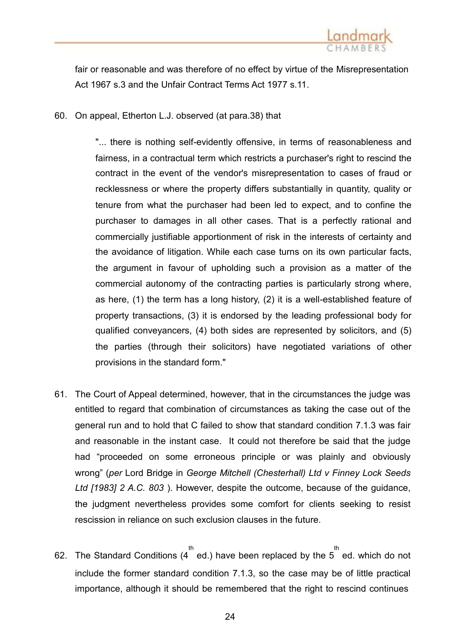

fair or reasonable and was therefore of no effect by virtue of the [Misrepresentation](http://login.westlaw.co.uk/maf/wluk/app/document?src=doc&linktype=ref&context=60&crumb-action=replace&docguid=ICA025660E44811DA8D70A0E70A78ED65) [Act 1967](http://login.westlaw.co.uk/maf/wluk/app/document?src=doc&linktype=ref&context=60&crumb-action=replace&docguid=ICA025660E44811DA8D70A0E70A78ED65) s.3 and the Unfair Contract [Terms Act 1977](http://login.westlaw.co.uk/maf/wluk/app/document?src=doc&linktype=ref&context=60&crumb-action=replace&docguid=IA467E9F1E44911DA8D70A0E70A78ED65) s.11.

60. On appeal, Etherton L.J. observed (at para.38) that

"... there is nothing self-evidently offensive, in terms of reasonableness and fairness, in a contractual term which restricts a purchaser's right to rescind the contract in the event of the vendor's misrepresentation to cases of fraud or recklessness or where the property differs substantially in quantity, quality or tenure from what the purchaser had been led to expect, and to confine the purchaser to damages in all other cases. That is a perfectly rational and commercially justifiable apportionment of risk in the interests of certainty and the avoidance of litigation. While each case turns on its own particular facts, the argument in favour of upholding such a provision as a matter of the commercial autonomy of the contracting parties is particularly strong where, as here, (1) the term has a long history, (2) it is a well-established feature of property transactions, (3) it is endorsed by the leading professional body for qualified conveyancers, (4) both sides are represented by solicitors, and (5) the parties (through their solicitors) have negotiated variations of other provisions in the standard form."

- 61. The Court of Appeal determined, however, that in the circumstances the judge was entitled to regard that combination of circumstances as taking the case out of the general run and to hold that C failed to show that standard condition 7.1.3 was fair and reasonable in the instant case. It could not therefore be said that the judge had "proceeded on some erroneous principle or was plainly and obviously wrong" (*per* Lord Bridge in *George Mitchell (Chesterhall) Ltd v Finney Lock Seeds Ltd [\[1983\] 2](http://login.westlaw.co.uk/maf/wluk/app/document?src=doc&linktype=ref&context=62&crumb-action=replace&docguid=IAE36DEE0E42711DA8FC2A0F0355337E9) A.C. 803* ). However, despite the [outcome, because of](http://login.westlaw.co.uk/maf/wluk/app/document?src=doc&linktype=ref&context=62&crumb-action=replace&docguid=IAE36DEE0E42711DA8FC2A0F0355337E9) the guidance, the judgment nevertheless provides some comfort for clients seeking to resist rescission in reliance on such exclusion clauses in the future.
- 62. The Standard Conditions (4<sup>th</sup> ed.) have been replaced by the 5<sup>th</sup> ed. which do not include the former standard condition 7.1.3, so the case may be of little practical importance, although it should be remembered that the right to rescind continues